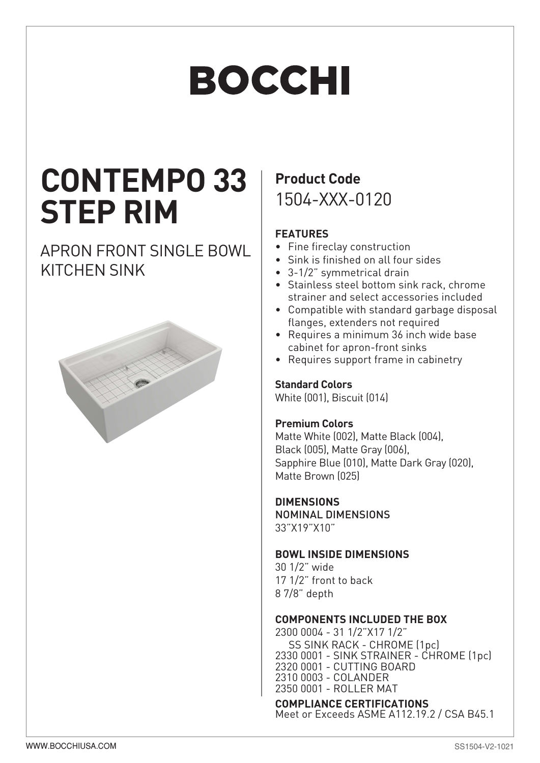# BOCCHI

# **CONTEMPO 33 STEP RIM**

### APRON FRONT SINGLE BOWL KITCHEN SINK



## **Product Code** 1504-XXX-0120

#### **FEATURES**

- Fine fireclay construction
- Sink is finished on all four sides
- 3-1/2" symmetrical drain
- Stainless steel bottom sink rack, chrome strainer and select accessories included
- Compatible with standard garbage disposal flanges, extenders not required
- Requires a minimum 36 inch wide base cabinet for apron-front sinks
- Requires support frame in cabinetry

#### **Standard Colors**

White (001), Biscuit (014)

#### **Premium Colors**

Matte White (002), Matte Black (004), Black (005), Matte Gray (006), Sapphire Blue (010), Matte Dark Gray (020), Matte Brown (025)

#### **DIMENSIONS**

NOMINAL DIMENSIONS 33"X19"X10"

#### **BOWL INSIDE DIMENSIONS**

30 1/2" wide 17 1/2" front to back 8 7/8" depth

#### **COMPONENTS INCLUDED THE BOX**

2300 0004 - 31 1/2"X17 1/2" SS SINK RACK - CHROME (1pc) 2330 0001 - SINK STRAINER - CHROME (1pc) 2320 0001 - CUTTING BOARD 2310 0003 - COLANDER 2350 0001 - ROLLER MAT

#### **COMPLIANCE CERTIFICATIONS**

Meet or Exceeds ASME A112.19.2 / CSA B45.1